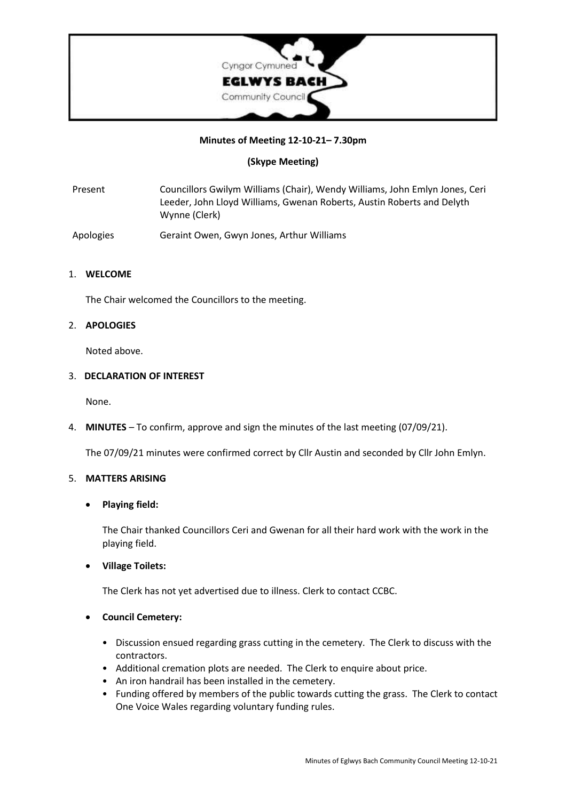

## **Minutes of Meeting 12-10-21– 7.30pm**

## **(Skype Meeting)**

Present Councillors Gwilym Williams (Chair), Wendy Williams, John Emlyn Jones, Ceri Leeder, John Lloyd Williams, Gwenan Roberts, Austin Roberts and Delyth Wynne (Clerk)

Apologies Geraint Owen, Gwyn Jones, Arthur Williams

## 1. **WELCOME**

The Chair welcomed the Councillors to the meeting.

#### 2. **APOLOGIES**

Noted above.

#### 3. **DECLARATION OF INTEREST**

None.

4. **MINUTES** – To confirm, approve and sign the minutes of the last meeting (07/09/21).

The 07/09/21 minutes were confirmed correct by Cllr Austin and seconded by Cllr John Emlyn.

## 5. **MATTERS ARISING**

## • **Playing field:**

The Chair thanked Councillors Ceri and Gwenan for all their hard work with the work in the playing field.

## • **Village Toilets:**

The Clerk has not yet advertised due to illness. Clerk to contact CCBC.

## • **Council Cemetery:**

- Discussion ensued regarding grass cutting in the cemetery. The Clerk to discuss with the contractors.
- Additional cremation plots are needed. The Clerk to enquire about price.
- An iron handrail has been installed in the cemetery.
- Funding offered by members of the public towards cutting the grass. The Clerk to contact One Voice Wales regarding voluntary funding rules.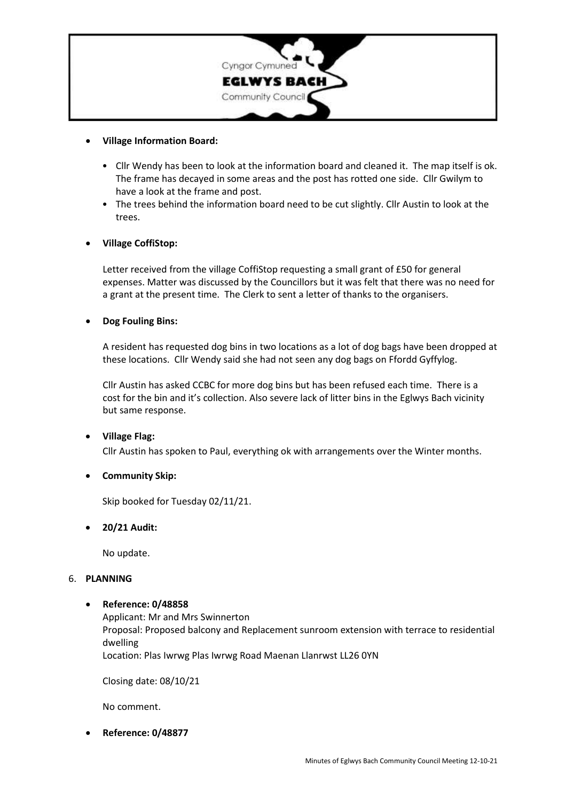

## • **Village Information Board:**

- Cllr Wendy has been to look at the information board and cleaned it. The map itself is ok. The frame has decayed in some areas and the post has rotted one side. Cllr Gwilym to have a look at the frame and post.
- The trees behind the information board need to be cut slightly. Cllr Austin to look at the trees.

## • **Village CoffiStop:**

Letter received from the village CoffiStop requesting a small grant of £50 for general expenses. Matter was discussed by the Councillors but it was felt that there was no need for a grant at the present time. The Clerk to sent a letter of thanks to the organisers.

## • **Dog Fouling Bins:**

A resident has requested dog bins in two locations as a lot of dog bags have been dropped at these locations. Cllr Wendy said she had not seen any dog bags on Ffordd Gyffylog.

Cllr Austin has asked CCBC for more dog bins but has been refused each time. There is a cost for the bin and it's collection. Also severe lack of litter bins in the Eglwys Bach vicinity but same response.

# • **Village Flag:**

Cllr Austin has spoken to Paul, everything ok with arrangements over the Winter months.

## • **Community Skip:**

Skip booked for Tuesday 02/11/21.

## • **20/21 Audit:**

No update.

## 6. **PLANNING**

## • **Reference: 0/48858**

Applicant: Mr and Mrs Swinnerton Proposal: Proposed balcony and Replacement sunroom extension with terrace to residential dwelling

Location: Plas Iwrwg Plas Iwrwg Road Maenan Llanrwst LL26 0YN

Closing date: 08/10/21

No comment.

• **Reference: 0/48877**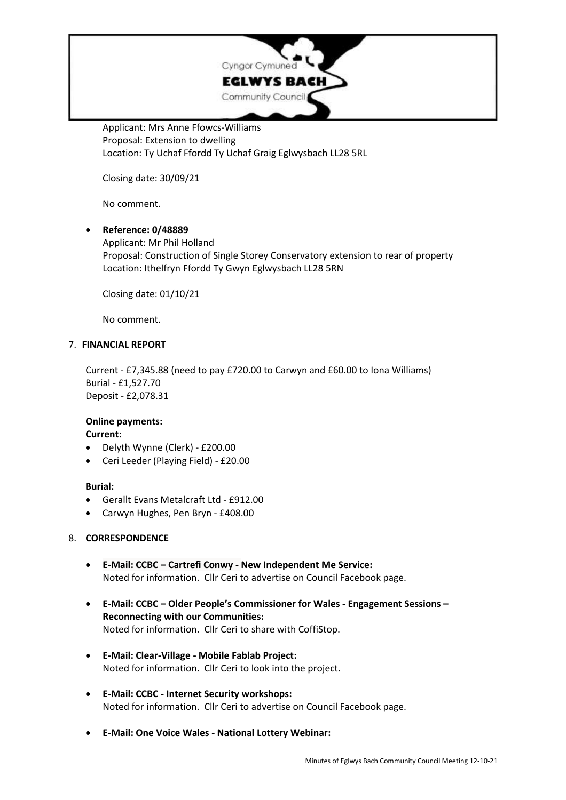

Applicant: Mrs Anne Ffowcs-Williams Proposal: Extension to dwelling Location: Ty Uchaf Ffordd Ty Uchaf Graig Eglwysbach LL28 5RL

Closing date: 30/09/21

No comment.

# • **Reference: 0/48889** Applicant: Mr Phil Holland Proposal: Construction of Single Storey Conservatory extension to rear of property Location: Ithelfryn Ffordd Ty Gwyn Eglwysbach LL28 5RN

Closing date: 01/10/21

No comment.

## 7. **FINANCIAL REPORT**

Current - £7,345.88 (need to pay £720.00 to Carwyn and £60.00 to Iona Williams) Burial - £1,527.70 Deposit - £2,078.31

## **Online payments:**

**Current:**

- Delyth Wynne (Clerk) £200.00
- Ceri Leeder (Playing Field) £20.00

## **Burial:**

- Gerallt Evans Metalcraft Ltd £912.00
- Carwyn Hughes, Pen Bryn £408.00

## 8. **CORRESPONDENCE**

- **E-Mail: CCBC – Cartrefi Conwy - New Independent Me Service:** Noted for information. Cllr Ceri to advertise on Council Facebook page.
- **E-Mail: CCBC – Older People's Commissioner for Wales - Engagement Sessions – Reconnecting with our Communities:** Noted for information. Cllr Ceri to share with CoffiStop.
- **E-Mail: Clear-Village - Mobile Fablab Project:** Noted for information. Cllr Ceri to look into the project.
- **E-Mail: CCBC - Internet Security workshops:** Noted for information. Cllr Ceri to advertise on Council Facebook page.
- **E-Mail: One Voice Wales - National Lottery Webinar:**